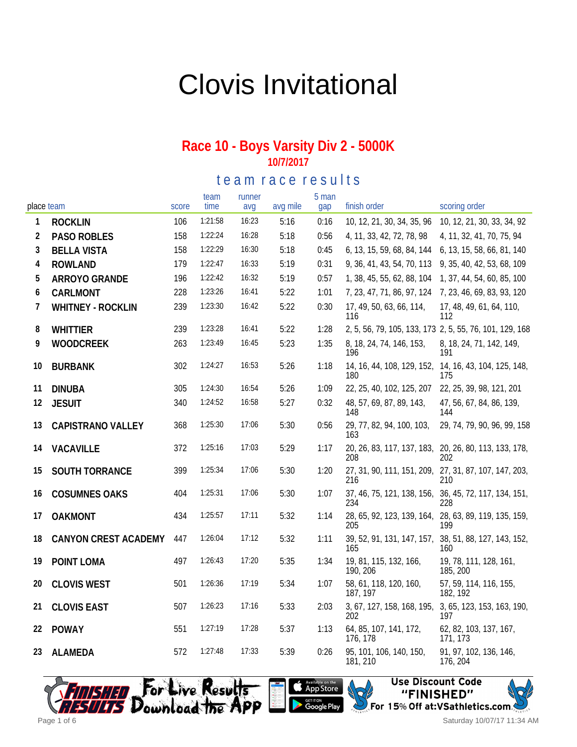# Clovis Invitational

#### **Race 10 - Boys Varsity Div 2 - 5000K 10/7/2017**

te am race results

| place team |                      | score | team<br>time | runner<br>avq | avg mile | 5 man<br>gap | finish order                        | scoring order                                                |
|------------|----------------------|-------|--------------|---------------|----------|--------------|-------------------------------------|--------------------------------------------------------------|
| 1          | <b>ROCKLIN</b>       | 106   | 1:21:58      | 16:23         | 5:16     | 0:16         | 10, 12, 21, 30, 34, 35, 96          | 10, 12, 21, 30, 33, 34, 92                                   |
| 2          | <b>PASO ROBLES</b>   | 158   | 1:22:24      | 16:28         | 5:18     | 0:56         | 4, 11, 33, 42, 72, 78, 98           | 4, 11, 32, 41, 70, 75, 94                                    |
| 3          | <b>BELLA VISTA</b>   | 158   | 1:22:29      | 16:30         | 5:18     | 0:45         | 6, 13, 15, 59, 68, 84, 144          | 6, 13, 15, 58, 66, 81, 140                                   |
| 4          | <b>ROWLAND</b>       | 179   | 1:22:47      | 16:33         | 5:19     | 0:31         | 9, 36, 41, 43, 54, 70, 113          | 9, 35, 40, 42, 53, 68, 109                                   |
| 5          | ARROYO GRANDE        | 196   | 1:22:42      | 16:32         | 5:19     | 0:57         | 1, 38, 45, 55, 62, 88, 104          | 1, 37, 44, 54, 60, 85, 100                                   |
| 6          | CARLMONT             | 228   | 1:23:26      | 16:41         | 5:22     | 1:01         | 7, 23, 47, 71, 86, 97, 124          | 7, 23, 46, 69, 83, 93, 120                                   |
| 7          | WHITNEY - ROCKLIN    | 239   | 1:23:30      | 16:42         | 5:22     | 0:30         | 17, 49, 50, 63, 66, 114,<br>116     | 17, 48, 49, 61, 64, 110,<br>112                              |
| 8          | <b>WHITTIER</b>      | 239   | 1:23:28      | 16:41         | 5:22     | 1:28         |                                     | 2, 5, 56, 79, 105, 133, 173 2, 5, 55, 76, 101, 129, 168      |
| 9          | <b>WOODCREEK</b>     | 263   | 1:23:49      | 16:45         | 5:23     | 1:35         | 8, 18, 24, 74, 146, 153,<br>196     | 8, 18, 24, 71, 142, 149,<br>191                              |
| 10         | <b>BURBANK</b>       | 302   | 1:24:27      | 16:53         | 5:26     | 1:18         | 180                                 | 14, 16, 44, 108, 129, 152, 14, 16, 43, 104, 125, 148,<br>175 |
| 11         | <b>DINUBA</b>        | 305   | 1:24:30      | 16:54         | 5:26     | 1:09         | 22, 25, 40, 102, 125, 207           | 22, 25, 39, 98, 121, 201                                     |
| 12         | <b>JESUIT</b>        | 340   | 1:24:52      | 16:58         | 5:27     | 0:32         | 48, 57, 69, 87, 89, 143,<br>148     | 47, 56, 67, 84, 86, 139,<br>144                              |
| 13         | CAPISTRANO VALLEY    | 368   | 1:25:30      | 17:06         | 5:30     | 0:56         | 29, 77, 82, 94, 100, 103,<br>163    | 29, 74, 79, 90, 96, 99, 158                                  |
| 14         | VACAVILLE            | 372   | 1:25:16      | 17:03         | 5:29     | 1:17         | 208                                 | 20, 26, 83, 117, 137, 183, 20, 26, 80, 113, 133, 178,<br>202 |
| 15         | SOUTH TORRANCE       | 399   | 1:25:34      | 17:06         | 5:30     | 1:20         | 216                                 | 27, 31, 90, 111, 151, 209, 27, 31, 87, 107, 147, 203,<br>210 |
| 16         | <b>COSUMNES OAKS</b> | 404   | 1:25:31      | 17:06         | 5:30     | 1:07         | 234                                 | 37, 46, 75, 121, 138, 156, 36, 45, 72, 117, 134, 151,<br>228 |
| 17         | <b>OAKMONT</b>       | 434   | 1:25:57      | 17:11         | 5:32     | 1:14         | 205                                 | 28, 65, 92, 123, 139, 164, 28, 63, 89, 119, 135, 159,<br>199 |
| 18         | CANYON CREST ACADEMY | 447   | 1:26:04      | 17:12         | 5:32     | 1:11         | 165                                 | 39, 52, 91, 131, 147, 157, 38, 51, 88, 127, 143, 152,<br>160 |
| 19         | POINT LOMA           | 497   | 1:26:43      | 17:20         | 5:35     | 1:34         | 19, 81, 115, 132, 166,<br>190, 206  | 19, 78, 111, 128, 161,<br>185, 200                           |
| 20         | <b>CLOVIS WEST</b>   | 501   | 1:26:36      | 17:19         | 5:34     | 1:07         | 58, 61, 118, 120, 160,<br>187, 197  | 57, 59, 114, 116, 155,<br>182, 192                           |
| 21         | <b>CLOVIS EAST</b>   | 507   | 1:26:23      | 17:16         | 5:33     | 2:03         | 3, 67, 127, 158, 168, 195,<br>202   | 3, 65, 123, 153, 163, 190,<br>197                            |
| 22         | <b>POWAY</b>         | 551   | 1:27:19      | 17:28         | 5:37     | 1:13         | 64, 85, 107, 141, 172,<br>176, 178  | 62, 82, 103, 137, 167,<br>171, 173                           |
| 23         | <b>ALAMEDA</b>       | 572   | 1:27:48      | 17:33         | 5:39     | 0:26         | 95, 101, 106, 140, 150,<br>181, 210 | 91, 97, 102, 136, 146,<br>176, 204                           |





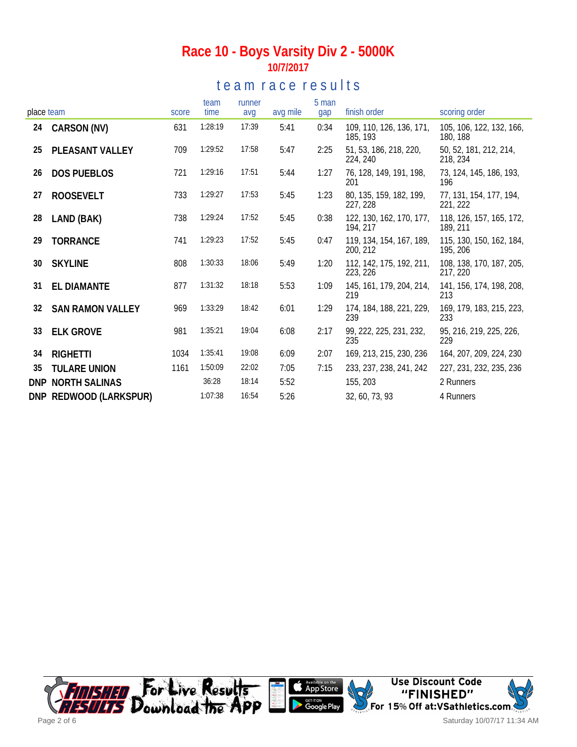## **Race 10 - Boys Varsity Div 2 - 5000K 10/7/2017**

## te am race results

|            |                         |       | team    | runner |          | 5 man |                                      |                                      |
|------------|-------------------------|-------|---------|--------|----------|-------|--------------------------------------|--------------------------------------|
| place team |                         | score | time    | avg    | avg mile | gap   | finish order                         | scoring order                        |
| 24         | CARSON (NV)             | 631   | 1:28:19 | 17:39  | 5:41     | 0:34  | 109, 110, 126, 136, 171,<br>185, 193 | 105, 106, 122, 132, 166,<br>180, 188 |
| 25         | PLEASANT VALLEY         | 709   | 1:29:52 | 17:58  | 5:47     | 2:25  | 51, 53, 186, 218, 220,<br>224, 240   | 50, 52, 181, 212, 214,<br>218, 234   |
| 26         | <b>DOS PUEBLOS</b>      | 721   | 1:29:16 | 17:51  | 5:44     | 1:27  | 76, 128, 149, 191, 198,<br>201       | 73, 124, 145, 186, 193,<br>196       |
| 27         | <b>ROOSEVELT</b>        | 733   | 1:29:27 | 17:53  | 5:45     | 1:23  | 80, 135, 159, 182, 199,<br>227, 228  | 77, 131, 154, 177, 194,<br>221, 222  |
| 28         | LAND (BAK)              | 738   | 1:29:24 | 17:52  | 5:45     | 0:38  | 122, 130, 162, 170, 177,<br>194, 217 | 118, 126, 157, 165, 172,<br>189, 211 |
| 29         | <b>TORRANCE</b>         | 741   | 1:29:23 | 17:52  | 5:45     | 0:47  | 119, 134, 154, 167, 189,<br>200, 212 | 115, 130, 150, 162, 184,<br>195, 206 |
| 30         | <b>SKYLINE</b>          | 808   | 1:30:33 | 18:06  | 5:49     | 1:20  | 112, 142, 175, 192, 211,<br>223, 226 | 108, 138, 170, 187, 205,<br>217, 220 |
| 31         | EL DIAMANTE             | 877   | 1:31:32 | 18:18  | 5:53     | 1:09  | 145, 161, 179, 204, 214,<br>219      | 141, 156, 174, 198, 208,<br>213      |
| 32         | <b>SAN RAMON VALLEY</b> | 969   | 1:33:29 | 18:42  | 6:01     | 1:29  | 174, 184, 188, 221, 229,<br>239      | 169, 179, 183, 215, 223,<br>233      |
| 33         | <b>ELK GROVE</b>        | 981   | 1:35:21 | 19:04  | 6:08     | 2:17  | 99, 222, 225, 231, 232,<br>235       | 95, 216, 219, 225, 226,<br>229       |
| 34         | <b>RIGHETTI</b>         | 1034  | 1:35:41 | 19:08  | 6:09     | 2:07  | 169, 213, 215, 230, 236              | 164, 207, 209, 224, 230              |
| 35         | <b>TULARE UNION</b>     | 1161  | 1:50:09 | 22:02  | 7:05     | 7:15  | 233, 237, 238, 241, 242              | 227, 231, 232, 235, 236              |
| <b>DNP</b> | <b>NORTH SALINAS</b>    |       | 36:28   | 18:14  | 5:52     |       | 155, 203                             | 2 Runners                            |
|            | DNP REDWOOD (LARKSPUR)  |       | 1:07:38 | 16:54  | 5:26     |       | 32, 60, 73, 93                       | 4 Runners                            |

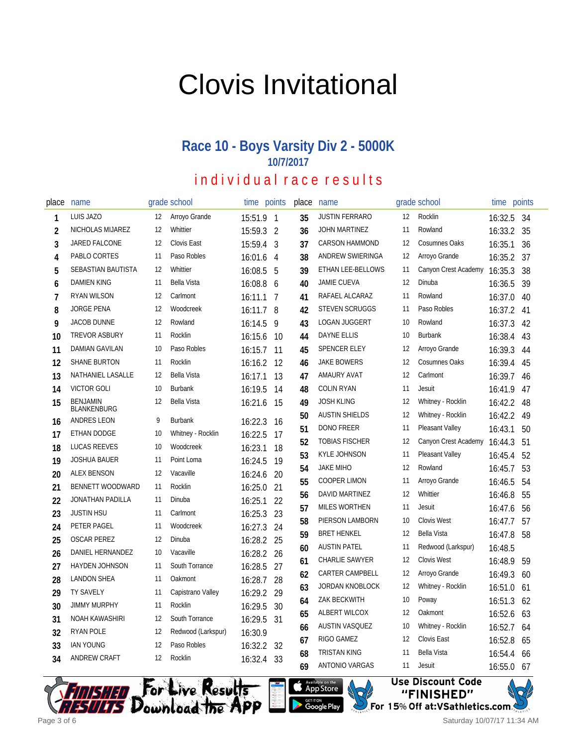# Clovis Invitational

# **Race 10 - Boys Varsity Div 2 - 5000K 10/7/2017**

# individual race results

| place | name                           |    | grade school       | time      | points         | place  | name                  |     | grade school         | time                                                                       | points                   |
|-------|--------------------------------|----|--------------------|-----------|----------------|--------|-----------------------|-----|----------------------|----------------------------------------------------------------------------|--------------------------|
| 1     | LUIS JAZO                      | 12 | Arroyo Grande      | 15:51.9 1 |                | 35     | <b>JUSTIN FERRARO</b> | 12  | Rocklin              | 16:32.5                                                                    | -34                      |
| 2     | NICHOLAS MIJAREZ               | 12 | Whittier           | 15:59.3   | $\overline{2}$ | 36     | <b>JOHN MARTINEZ</b>  | 11  | Rowland              | 16:33.2                                                                    | 35                       |
| 3     | JARED FALCONE                  | 12 | Clovis East        | 15:59.4   | 3              | 37     | <b>CARSON HAMMOND</b> | 12  | <b>Cosumnes Oaks</b> | 16:35.1                                                                    | 36                       |
| 4     | PABLO CORTES                   | 11 | Paso Robles        | 16:01.6   | 4              | 38     | ANDREW SWIERINGA      | 12  | Arroyo Grande        | 16:35.2                                                                    | 37                       |
| 5     | SEBASTIAN BAUTISTA             | 12 | Whittier           | 16:08.5   | 5              | 39     | ETHAN LEE-BELLOWS     | 11  | Canyon Crest Academy | 16:35.3                                                                    | 38                       |
| 6     | <b>DAMIEN KING</b>             | 11 | Bella Vista        | 16:08.8   | -6             | 40     | <b>JAMIE CUEVA</b>    | 12  | Dinuba               | 16:36.5                                                                    | 39                       |
| 7     | RYAN WILSON                    | 12 | Carlmont           | 16:11.1   | $\overline{7}$ | 41     | RAFAEL ALCARAZ        | 11  | Rowland              | 16:37.0                                                                    | 40                       |
| 8     | <b>JORGE PENA</b>              | 12 | Woodcreek          | 16:11.7 8 |                | 42     | <b>STEVEN SCRUGGS</b> | 11  | Paso Robles          | 16:37.2                                                                    | 41                       |
| 9     | <b>JACOB DUNNE</b>             | 12 | Rowland            | 16:14.5   | 9              | 43     | <b>LOGAN JUGGERT</b>  | 10  | Rowland              | 16:37.3                                                                    | 42                       |
| 10    | <b>TREVOR ASBURY</b>           | 11 | Rocklin            | 16:15.6   | 10             | 44     | <b>DAYNE ELLIS</b>    | 10  | <b>Burbank</b>       | 16:38.4                                                                    | 43                       |
| 11    | DAMIAN GAVILAN                 | 10 | Paso Robles        | 16:15.7   | 11             | 45     | SPENCER ELEY          | 12  | Arroyo Grande        | 16:39.3                                                                    | 44                       |
| 12    | <b>SHANE BURTON</b>            | 11 | Rocklin            | 16:16.2   | 12             | 46     | <b>JAKE BOWERS</b>    | 12  | <b>Cosumnes Oaks</b> | 16:39.4                                                                    | 45                       |
| 13    | NATHANIEL LASALLE              | 12 | Bella Vista        | 16:17.1   | 13             | 47     | AMAURY AVAT           | 12  | Carlmont             | 16:39.7                                                                    | 46                       |
| 14    | <b>VICTOR GOLI</b>             | 10 | <b>Burbank</b>     | 16:19.5   | 14             | 48     | <b>COLIN RYAN</b>     | 11  | Jesuit               | 16:41.9                                                                    | 47                       |
| 15    | <b>BENJAMIN</b><br>BLANKENBURG | 12 | <b>Bella Vista</b> | 16:21.6   | -15            | 49     | <b>JOSH KLING</b>     | 12  | Whitney - Rocklin    | 16:42.2                                                                    | 48                       |
| 16    | <b>ANDRES LEON</b>             | 9  | <b>Burbank</b>     | 16:22.3   | 16             | 50     | <b>AUSTIN SHIELDS</b> | 12  | Whitney - Rocklin    | 16:42.2                                                                    | 49                       |
| 17    | ETHAN DODGE                    | 10 | Whitney - Rocklin  | 16:22.5   | 17             | 51     | <b>DONO FREER</b>     | -11 | Pleasant Valley      | 16:43.1                                                                    | 50                       |
| 18    | <b>LUCAS REEVES</b>            | 10 | Woodcreek          | 16:23.1   | 18             | 52     | <b>TOBIAS FISCHER</b> | 12  | Canyon Crest Academy | 16:44.3                                                                    | 51                       |
| 19    | <b>JOSHUA BAUER</b>            | 11 | Point Loma         | 16:24.5   | 19             | 53     | <b>KYLE JOHNSON</b>   | 11  | Pleasant Valley      | 16:45.4                                                                    | 52                       |
| 20    | <b>ALEX BENSON</b>             | 12 | Vacaville          | 16:24.6   | 20             | 54     | <b>JAKE MIHO</b>      | 12  | Rowland              | 16:45.7                                                                    | 53                       |
| 21    | <b>BENNETT WOODWARD</b>        | 11 | Rocklin            | 16:25.0   | 21             | 55     | <b>COOPER LIMON</b>   | 11  | Arroyo Grande        | 16:46.5                                                                    | 54                       |
| 22    | JONATHAN PADILLA               | 11 | Dinuba             | 16:25.1   | 22             | 56     | DAVID MARTINEZ        | 12  | Whittier             | 16:46.8                                                                    | 55                       |
| 23    | <b>JUSTIN HSU</b>              | 11 | Carlmont           | 16:25.3   | 23             | 57     | <b>MILES WORTHEN</b>  | 11  | <b>Jesuit</b>        | 16:47.6                                                                    | 56                       |
| 24    | PETER PAGEL                    | 11 | Woodcreek          | 16:27.3   | 24             | 58     | PIERSON LAMBORN       | 10  | <b>Clovis West</b>   | 16:47.7                                                                    | 57                       |
| 25    | <b>OSCAR PEREZ</b>             | 12 | Dinuba             | 16:28.2   | 25             | 59     | <b>BRET HENKEL</b>    | 12  | <b>Bella Vista</b>   | 16:47.8                                                                    | 58                       |
| 26    | DANIEL HERNANDEZ               | 10 | Vacaville          | 16:28.2   | 26             | 60     | <b>AUSTIN PATEL</b>   | 11  | Redwood (Larkspur)   | 16:48.5                                                                    |                          |
| 27    | HAYDEN JOHNSON                 | 11 | South Torrance     | 16:28.5   | 27             | 61     | CHARLIE SAWYER        | 12  | <b>Clovis West</b>   | 16:48.9                                                                    | 59                       |
| 28    | <b>LANDON SHEA</b>             | 11 | Oakmont            | 16:28.7   | 28             | 62     | CARTER CAMPBELL       | 12  | Arroyo Grande        | 16:49.3                                                                    | 60                       |
| 29    | <b>TY SAVELY</b>               | 11 | Capistrano Valley  | 16:29.2   | 29             | 63     | JORDAN KNOBLOCK       | 12  | Whitney - Rocklin    | 16:51.0                                                                    | 61                       |
| 30    | <b>JIMMY MURPHY</b>            | 11 | Rocklin            | 16:29.5   | 30             | 64     | ZAK BECKWITH          | 10  | Poway                | 16:51.3                                                                    | 62                       |
| 31    | NOAH KAWASHIRI                 | 12 | South Torrance     | 16:29.5   | 31             | 65     | ALBERT WILCOX         | 12  | Oakmont              | 16:52.6                                                                    | 63                       |
| 32    | RYAN POLE                      | 12 | Redwood (Larkspur) | 16:30.9   |                | 66     | AUSTIN VASQUEZ        | 10  | Whitney - Rocklin    | 16:52.7                                                                    | 64                       |
| 33    | <b>IAN YOUNG</b>               | 12 | Paso Robles        | 16:32.2   | 32             | 67     | RIGO GAMEZ            | 12  | Clovis East          | 16:52.8                                                                    | 65                       |
| 34    | ANDREW CRAFT                   | 12 | Rocklin            | 16:32.4   | 33             | 68     | <b>TRISTAN KING</b>   | 11  | Bella Vista          | 16:54.4                                                                    | 66                       |
|       |                                |    |                    |           |                | $\sim$ | ANITONIO VADO AC      | 11  | والمتحدث والمستنقل   | $\overline{a}$ $\overline{c}$ $\overline{c}$ $\overline{c}$ $\overline{c}$ | $\overline{\phantom{a}}$ |





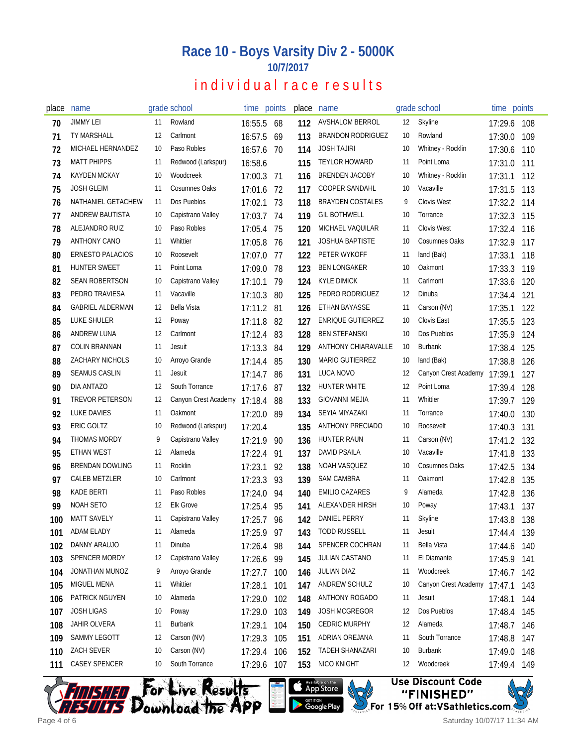### **Race 10 - Boys Varsity Div 2 - 5000K 10/7/2017**

## individual race results

| place | name                    |    | grade school                 | time points |     | place | name                     |    | grade school         | time points |     |
|-------|-------------------------|----|------------------------------|-------------|-----|-------|--------------------------|----|----------------------|-------------|-----|
| 70    | <b>JIMMY LEI</b>        | 11 | Rowland                      | 16:55.5     | 68  | 112   | <b>AVSHALOM BERROL</b>   | 12 | Skyline              | 17:29.6     | 108 |
| 71    | <b>TY MARSHALL</b>      | 12 | Carlmont                     | 16:57.5     | 69  | 113   | <b>BRANDON RODRIGUEZ</b> | 10 | Rowland              | 17:30.0     | 109 |
| 72    | MICHAEL HERNANDEZ       | 10 | Paso Robles                  | 16:57.6     | 70  | 114   | <b>JOSH TAJIRI</b>       | 10 | Whitney - Rocklin    | 17:30.6     | 110 |
| 73    | <b>MATT PHIPPS</b>      | 11 | Redwood (Larkspur)           | 16:58.6     |     | 115   | <b>TEYLOR HOWARD</b>     | 11 | Point Loma           | 17:31.0     | 111 |
| 74    | <b>KAYDEN MCKAY</b>     | 10 | Woodcreek                    | 17:00.3     | 71  | 116   | <b>BRENDEN JACOBY</b>    | 10 | Whitney - Rocklin    | 17:31.1     | 112 |
| 75    | <b>JOSH GLEIM</b>       | 11 | <b>Cosumnes Oaks</b>         | 17:01.6     | 72  | 117   | <b>COOPER SANDAHL</b>    | 10 | Vacaville            | 17:31.5     | 113 |
| 76    | NATHANIEL GETACHEW      | 11 | Dos Pueblos                  | 17:02.1     | 73  | 118   | <b>BRAYDEN COSTALES</b>  | 9  | <b>Clovis West</b>   | 17:32.2     | 114 |
| 77    | ANDREW BAUTISTA         | 10 | Capistrano Valley            | 17:03.7     | 74  | 119   | <b>GIL BOTHWELL</b>      | 10 | Torrance             | 17:32.3     | 115 |
| 78    | ALEJANDRO RUIZ          | 10 | Paso Robles                  | 17:05.4     | -75 | 120   | <b>MICHAEL VAQUILAR</b>  | 11 | Clovis West          | 17:32.4     | 116 |
| 79    | <b>ANTHONY CANO</b>     | 11 | Whittier                     | 17:05.8     | 76  | 121   | <b>JOSHUA BAPTISTE</b>   | 10 | Cosumnes Oaks        | 17:32.9     | 117 |
| 80    | ERNESTO PALACIOS        | 10 | Roosevelt                    | 17:07.0     | -77 | 122   | PETER WYKOFF             | 11 | land (Bak)           | 17:33.1     | 118 |
| 81    | HUNTER SWEET            | 11 | Point Loma                   | 17:09.0     | 78  | 123   | <b>BEN LONGAKER</b>      | 10 | Oakmont              | 17:33.3     | 119 |
| 82    | <b>SEAN ROBERTSON</b>   | 10 | Capistrano Valley            | 17:10.1     | 79  | 124   | <b>KYLE DIMICK</b>       | 11 | Carlmont             | 17:33.6     | 120 |
| 83    | PEDRO TRAVIESA          | 11 | Vacaville                    | 17:10.3     | 80  | 125   | PEDRO RODRIGUEZ          | 12 | Dinuba               | 17:34.4     | 121 |
| 84    | <b>GABRIEL ALDERMAN</b> | 12 | <b>Bella Vista</b>           | 17:11.2     | 81  | 126   | ETHAN BAYASSE            | 11 | Carson (NV)          | 17:35.1     | 122 |
| 85    | LUKE SHULER             | 12 | Poway                        | 17:11.8     | 82  | 127   | <b>ENRIQUE GUTIERREZ</b> | 10 | Clovis East          | 17:35.5     | 123 |
| 86    | ANDREW LUNA             | 12 | Carlmont                     | 17:12.4     | 83  | 128   | <b>BEN STEFANSKI</b>     | 10 | Dos Pueblos          | 17:35.9     | 124 |
| 87    | COLIN BRANNAN           | 11 | Jesuit                       | 17:13.3     | 84  | 129   | ANTHONY CHIARAVALLE      | 10 | Burbank              | 17:38.4     | 125 |
| 88    | <b>ZACHARY NICHOLS</b>  | 10 | Arroyo Grande                | 17:14.4     | 85  | 130   | <b>MARIO GUTIERREZ</b>   | 10 | land (Bak)           | 17:38.8     | 126 |
| 89    | <b>SEAMUS CASLIN</b>    | 11 | Jesuit                       | 17:14.7     | 86  | 131   | LUCA NOVO                | 12 | Canyon Crest Academy | 17:39.1     | 127 |
| 90    | DIA ANTAZO              | 12 | South Torrance               | 17:17.6     | -87 | 132   | HUNTER WHITE             | 12 | Point Loma           | 17:39.4     | 128 |
| 91    | TREVOR PETERSON         | 12 | Canyon Crest Academy 17:18.4 |             | 88  | 133   | GIOVANNI MEJIA           | 11 | Whittier             | 17:39.7     | 129 |
| 92    | LUKE DAVIES             | 11 | Oakmont                      | 17:20.0     | 89  | 134   | SEYIA MIYAZAKI           | 11 | Torrance             | 17:40.0     | 130 |
| 93    | ERIC GOLTZ              | 10 | Redwood (Larkspur)           | 17:20.4     |     | 135   | <b>ANTHONY PRECIADO</b>  | 10 | Roosevelt            | 17:40.3     | 131 |
| 94    | THOMAS MORDY            | 9  | Capistrano Valley            | 17:21.9     | 90  | 136   | HUNTER RAUN              | 11 | Carson (NV)          | 17:41.2     | 132 |
| 95    | ETHAN WEST              | 12 | Alameda                      | 17:22.4     | 91  | 137   | DAVID PSAILA             | 10 | Vacaville            | 17:41.8     | 133 |
| 96    | <b>BRENDAN DOWLING</b>  | 11 | Rocklin                      | 17:23.1     | 92  | 138   | NOAH VASQUEZ             | 10 | <b>Cosumnes Oaks</b> | 17:42.5     | 134 |
| 97    | CALEB METZLER           | 10 | Carlmont                     | 17:23.3     | 93  | 139   | SAM CAMBRA               | 11 | Oakmont              | 17:42.8     | 135 |
| 98    | KADE BERTI              | 11 | Paso Robles                  | 17:24.0     | 94  | 140   | EMILIO CAZARES           | 9  | Alameda              | 17:42.8     | 136 |
| 99    | NOAH SETO               | 12 | <b>Elk Grove</b>             | 17:25.4     | 95  | 141   | ALEXANDER HIRSH          | 10 | Poway                | 17:43.1     | 137 |
| 100   | <b>MATT SAVELY</b>      | 11 | Capistrano Valley            | 17:25.7     | 96  | 142   | <b>DANIEL PERRY</b>      | 11 | <b>Skyline</b>       | 17:43.8 138 |     |
| 101   | ADAM ELADY              | 11 | Alameda                      | 17:25.9 97  |     | 143   | <b>TODD RUSSELL</b>      | 11 | Jesuit               | 17:44.4     | 139 |
| 102   | DANNY ARAUJO            | 11 | Dinuba                       | 17:26.4     | 98  | 144   | SPENCER COCHRAN          | 11 | Bella Vista          | 17:44.6     | 140 |
| 103   | SPENCER MORDY           | 12 | Capistrano Valley            | 17:26.6     | 99  | 145   | JULIAN CASTANO           | 11 | El Diamante          | 17:45.9     | 141 |
| 104   | JONATHAN MUNOZ          | 9  | Arroyo Grande                | 17:27.7     | 100 | 146   | JULIAN DIAZ              | 11 | Woodcreek            | 17:46.7     | 142 |
| 105   | MIGUEL MENA             | 11 | Whittier                     | 17:28.1     | 101 | 147   | ANDREW SCHULZ            | 10 | Canyon Crest Academy | 17:47.1     | 143 |
| 106   | PATRICK NGUYEN          | 10 | Alameda                      | 17:29.0     | 102 | 148   | ANTHONY ROGADO           | 11 | Jesuit               | 17:48.1     | 144 |
| 107   | <b>JOSH LIGAS</b>       | 10 | Poway                        | 17:29.0     | 103 | 149   | JOSH MCGREGOR            | 12 | Dos Pueblos          | 17:48.4     | 145 |
| 108   | JAHIR OLVERA            | 11 | <b>Burbank</b>               | 17:29.1     | 104 | 150   | <b>CEDRIC MURPHY</b>     | 12 | Alameda              | 17:48.7     | 146 |
| 109   | SAMMY LEGOTT            | 12 | Carson (NV)                  | 17:29.3     | 105 | 151   | ADRIAN OREJANA           | 11 | South Torrance       | 17:48.8     | 147 |
| 110   | <b>ZACH SEVER</b>       | 10 | Carson (NV)                  | 17:29.4     | 106 | 152   | TADEH SHANAZARI          | 10 | Burbank              | 17:49.0     | 148 |
| 111   | CASEY SPENCER           | 10 | South Torrance               | 17:29.6     | 107 | 153   | NICO KNIGHT              | 12 | Woodcreek            | 17:49.4     | 149 |





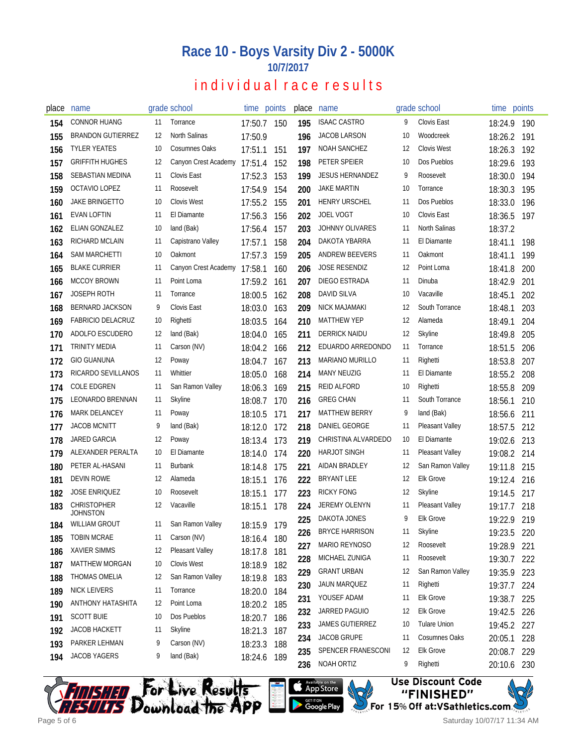## **Race 10 - Boys Varsity Div 2 - 5000K 10/7/2017**

# individual race results

| place | name                           |    | grade school                 |             | time points | place | name                   |    | grade school           | time points |     |
|-------|--------------------------------|----|------------------------------|-------------|-------------|-------|------------------------|----|------------------------|-------------|-----|
| 154   | <b>CONNOR HUANG</b>            | 11 | Torrance                     | 17:50.7     | 150         | 195   | <b>ISAAC CASTRO</b>    | 9  | Clovis East            | 18:24.9     | 190 |
| 155   | <b>BRANDON GUTIERREZ</b>       | 12 | North Salinas                | 17:50.9     |             | 196   | <b>JACOB LARSON</b>    | 10 | Woodcreek              | 18:26.2     | 191 |
| 156   | <b>TYLER YEATES</b>            | 10 | Cosumnes Oaks                | 17:51.1     | 151         | 197   | <b>NOAH SANCHEZ</b>    | 12 | <b>Clovis West</b>     | 18:26.3     | 192 |
| 157   | <b>GRIFFITH HUGHES</b>         | 12 | Canyon Crest Academy 17:51.4 |             | 152         | 198   | PETER SPEIER           | 10 | Dos Pueblos            | 18:29.6     | 193 |
| 158   | SEBASTIAN MEDINA               | 11 | Clovis East                  | 17:52.3     | 153         | 199   | <b>JESUS HERNANDEZ</b> | 9  | Roosevelt              | 18:30.0     | 194 |
| 159   | OCTAVIO LOPEZ                  | 11 | Roosevelt                    | 17:54.9     | 154         | 200   | <b>JAKE MARTIN</b>     | 10 | Torrance               | 18:30.3     | 195 |
| 160   | <b>JAKE BRINGETTO</b>          | 10 | <b>Clovis West</b>           | 17:55.2     | 155         | 201   | <b>HENRY URSCHEL</b>   | 11 | Dos Pueblos            | 18:33.0     | 196 |
| 161   | <b>EVAN LOFTIN</b>             | 11 | El Diamante                  | 17:56.3     | 156         | 202   | <b>JOEL VOGT</b>       | 10 | Clovis East            | 18:36.5     | 197 |
| 162   | ELIAN GONZALEZ                 | 10 | land (Bak)                   | 17:56.4     | 157         | 203   | <b>JOHNNY OLIVARES</b> | 11 | North Salinas          | 18:37.2     |     |
| 163   | RICHARD MCLAIN                 | 11 | Capistrano Valley            | 17:57.1     | 158         | 204   | DAKOTA YBARRA          | 11 | El Diamante            | 18:41.1     | 198 |
| 164   | <b>SAM MARCHETTI</b>           | 10 | Oakmont                      | 17:57.3     | 159         | 205   | ANDREW BEEVERS         | 11 | Oakmont                | 18:41.1     | 199 |
| 165   | <b>BLAKE CURRIER</b>           | 11 | Canyon Crest Academy         | 17:58.1     | 160         | 206   | <b>JOSE RESENDIZ</b>   | 12 | Point Loma             | 18:41.8     | 200 |
| 166   | <b>MCCOY BROWN</b>             | 11 | Point Loma                   | 17:59.2     | 161         | 207   | DIEGO ESTRADA          | 11 | Dinuba                 | 18:42.9     | 201 |
| 167   | <b>JOSEPH ROTH</b>             | 11 | Torrance                     | 18:00.5     | 162         | 208   | <b>DAVID SILVA</b>     | 10 | Vacaville              | 18:45.1     | 202 |
| 168   | <b>BERNARD JACKSON</b>         | 9  | Clovis East                  | 18:03.0     | 163         | 209   | NICK MAJAMAKI          | 12 | South Torrance         | 18:48.1     | 203 |
| 169   | <b>FABRICIO DELACRUZ</b>       | 10 | Righetti                     | 18:03.5     | 164         | 210   | <b>MATTHEW YEP</b>     | 12 | Alameda                | 18:49.1     | 204 |
| 170   | ADOLFO ESCUDERO                | 12 | land (Bak)                   | 18:04.0     | 165         | 211   | DERRICK NAIDU          | 12 | Skyline                | 18:49.8     | 205 |
| 171   | <b>TRINITY MEDIA</b>           | 11 | Carson (NV)                  | 18:04.2     | 166         | 212   | EDUARDO ARREDONDO      | 11 | Torrance               | 18:51.5     | 206 |
| 172   | <b>GIO GUANUNA</b>             | 12 | Poway                        | 18:04.7     | 167         | 213   | <b>MARIANO MURILLO</b> | 11 | Righetti               | 18:53.8     | 207 |
| 173   | RICARDO SEVILLANOS             | 11 | Whittier                     | 18:05.0     | 168         | 214   | <b>MANY NEUZIG</b>     | 11 | El Diamante            | 18:55.2     | 208 |
| 174   | <b>COLE EDGREN</b>             | 11 | San Ramon Valley             | 18:06.3     | 169         | 215   | <b>REID ALFORD</b>     | 10 | Righetti               | 18:55.8     | 209 |
| 175   | LEONARDO BRENNAN               | 11 | Skyline                      | 18:08.7     | 170         | 216   | <b>GREG CHAN</b>       | 11 | South Torrance         | 18:56.1     | 210 |
| 176   | <b>MARK DELANCEY</b>           | 11 | Poway                        | 18:10.5     | 171         | 217   | <b>MATTHEW BERRY</b>   | 9  | land (Bak)             | 18:56.6     | 211 |
| 177   | <b>JACOB MCNITT</b>            | 9  | land (Bak)                   | 18:12.0     | 172         | 218   | DANIEL GEORGE          | 11 | Pleasant Valley        | 18:57.5     | 212 |
| 178   | JARED GARCIA                   | 12 | Poway                        | 18:13.4     | 173         | 219   | CHRISTINA ALVARDEDO    | 10 | El Diamante            | 19:02.6     | 213 |
| 179   | ALEXANDER PERALTA              | 10 | El Diamante                  | 18:14.0     | 174         | 220   | <b>HARJOT SINGH</b>    | 11 | <b>Pleasant Valley</b> | 19:08.2     | 214 |
| 180   | PETER AL-HASANI                | 11 | <b>Burbank</b>               | 18:14.8     | 175         | 221   | AIDAN BRADLEY          | 12 | San Ramon Valley       | 19:11.8     | 215 |
| 181   | <b>DEVIN ROWE</b>              | 12 | Alameda                      | 18:15.1     | 176         | 222   | BRYANT LEE             | 12 | <b>Elk Grove</b>       | 19:12.4     | 216 |
| 182   | <b>JOSE ENRIQUEZ</b>           | 10 | Roosevelt                    | 18:15.1     | 177         | 223   | <b>RICKY FONG</b>      | 12 | <b>Skyline</b>         | 19:14.5     | 217 |
| 183   | <b>CHRISTOPHER</b><br>JOHNSTON | 12 | Vacaville                    | 18:15.1     | 178         | 224   | JEREMY OLENYN          | 11 | <b>Pleasant Valley</b> | 19:17.7     | 218 |
| 184   | WILLIAM GROUT                  |    | 11 San Ramon Valley          | 18:15.9 179 |             | 225   | DAKOTA JONES           | 9  | <b>Elk Grove</b>       | 19:22.9 219 |     |
| 185   | <b>TOBIN MCRAE</b>             | 11 | Carson (NV)                  | 18:16.4     | 180         | 226   | <b>BRYCE HARRISON</b>  | 11 | Skyline                | 19:23.5     | 220 |
| 186   | <b>XAVIER SIMMS</b>            | 12 | Pleasant Valley              | 18:17.8     | 181         | 227   | MARIO REYNOSO          | 12 | Roosevelt              | 19:28.9     | 221 |
| 187   | <b>MATTHEW MORGAN</b>          | 10 | Clovis West                  | 18:18.9     | 182         | 228   | MICHAEL ZUNIGA         | 11 | Roosevelt              | 19:30.7     | 222 |
| 188   | THOMAS OMELIA                  | 12 | San Ramon Valley             | 18:19.8     | 183         | 229   | <b>GRANT URBAN</b>     | 12 | San Ramon Valley       | 19:35.9     | 223 |
| 189   | <b>NICK LEIVERS</b>            | 11 | Torrance                     | 18:20.0     | 184         | 230   | JAUN MARQUEZ           | 11 | Righetti               | 19:37.7     | 224 |
| 190   | ANTHONY HATASHITA              | 12 | Point Loma                   | 18:20.2 185 |             | 231   | YOUSEF ADAM            | 11 | Elk Grove              | 19:38.7     | 225 |
| 191   | <b>SCOTT BUIE</b>              | 10 | Dos Pueblos                  | 18:20.7     | 186         | 232   | JARRED PAGUIO          | 12 | Elk Grove              | 19:42.5     | 226 |
| 192   | <b>JACOB HACKETT</b>           | 11 | Skyline                      | 18:21.3     | 187         | 233   | JAMES GUTIERREZ        | 10 | <b>Tulare Union</b>    | 19:45.2 227 |     |
| 193   | PARKER LEHMAN                  | 9  | Carson (NV)                  | 18:23.3     | 188         | 234   | JACOB GRUPE            | 11 | Cosumnes Oaks          | 20:05.1     | 228 |
| 194   | JACOB YAGERS                   | 9  | land (Bak)                   | 18:24.6 189 |             | 235   | SPENCER FRANESCONI     | 12 | Elk Grove              | 20:08.7     | 229 |
|       |                                |    |                              |             |             | 236   | NOAH ORTIZ             | 9  | Righetti               | 20:10.6 230 |     |